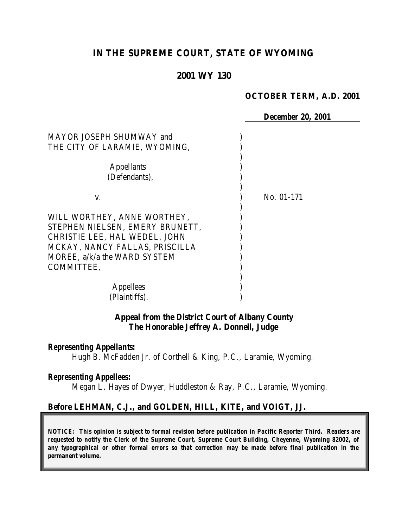## **IN THE SUPREME COURT, STATE OF WYOMING**

### **2001 WY 130**

#### **OCTOBER TERM, A.D. 2001**

 *December 20, 2001* MAYOR JOSEPH SHUMWAY and ) THE CITY OF LARAMIE, WYOMING, ) Appellants ) (Defendants), ) v. No. 01-171 ) WILL WORTHEY, ANNE WORTHEY, STEPHEN NIELSEN, EMERY BRUNETT, ) CHRISTIE LEE, HAL WEDEL, JOHN ) MCKAY, NANCY FALLAS, PRISCILLA MOREE, a/k/a the WARD SYSTEM COMMITTEE, ) ) Appellees ) (Plaintiffs).

### **Appeal from the District Court of Albany County The Honorable Jeffrey A. Donnell, Judge**

#### *Representing Appellants:*

Hugh B. McFadden Jr. of Corthell & King, P.C., Laramie, Wyoming.

#### *Representing Appellees:*

Megan L. Hayes of Dwyer, Huddleston & Ray, P.C., Laramie, Wyoming.

### **Before LEHMAN, C.J., and GOLDEN, HILL, KITE, and VOIGT, JJ.**

*NOTICE: This opinion is subject to formal revision before publication in Pacific Reporter Third. Readers are requested to notify the Clerk of the Supreme Court, Supreme Court Building, Cheyenne, Wyoming 82002, of any typographical or other formal errors so that correction may be made before final publication in the permanent volume.*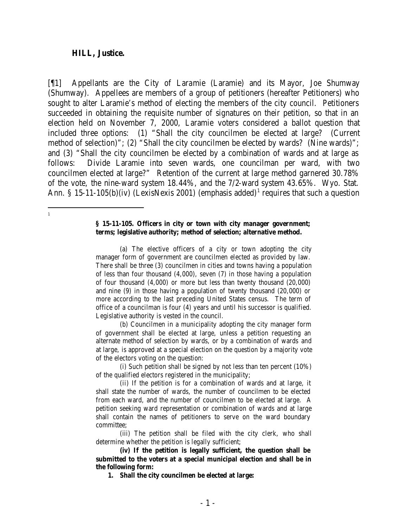#### **HILL, Justice.**

 1

[¶1] Appellants are the City of Laramie (Laramie) and its Mayor, Joe Shumway (Shumway). Appellees are members of a group of petitioners (hereafter Petitioners) who sought to alter Laramie's method of electing the members of the city council. Petitioners succeeded in obtaining the requisite number of signatures on their petition, so that in an election held on November 7, 2000, Laramie voters considered a ballot question that included three options: (1) "Shall the city councilmen be elected at large? (Current method of selection)"; (2) "Shall the city councilmen be elected by wards? (Nine wards)"; and (3) "Shall the city councilmen be elected by a combination of wards and at large as follows: Divide Laramie into seven wards, one councilman per ward, with two councilmen elected at large?" Retention of the current at large method garnered 30.78% of the vote, the nine-ward system 18.44%, and the 7/2-ward system 43.65%. Wyo. Stat. Ann. § 15-11-105(b)(iv) (LexisNexis 2001) (emphasis added)<sup>1</sup> requires that such a question

#### **§ 15-11-105. Officers in city or town with city manager government; terms; legislative authority; method of selection; alternative method.**

(a) The elective officers of a city or town adopting the city manager form of government are councilmen elected as provided by law. There shall be three (3) councilmen in cities and towns having a population of less than four thousand (4,000), seven (7) in those having a population of four thousand (4,000) or more but less than twenty thousand (20,000) and nine (9) in those having a population of twenty thousand (20,000) or more according to the last preceding United States census. The term of office of a councilman is four (4) years and until his successor is qualified. Legislative authority is vested in the council.

(b) Councilmen in a municipality adopting the city manager form of government shall be elected at large, unless a petition requesting an alternate method of selection by wards, or by a combination of wards and at large, is approved at a special election on the question by a majority vote of the electors voting on the question:

(i) Such petition shall be signed by not less than ten percent (10%) of the qualified electors registered in the municipality;

(ii) If the petition is for a combination of wards and at large, it shall state the number of wards, the number of councilmen to be elected from each ward, and the number of councilmen to be elected at large. A petition seeking ward representation or combination of wards and at large shall contain the names of petitioners to serve on the ward boundary committee;

(iii) The petition shall be filed with the city clerk, who shall determine whether the petition is legally sufficient;

**(iv) If the petition is legally sufficient, the question shall be submitted to the voters at a special municipal election and shall be in the following form:**

**1. Shall the city councilmen be elected at large:**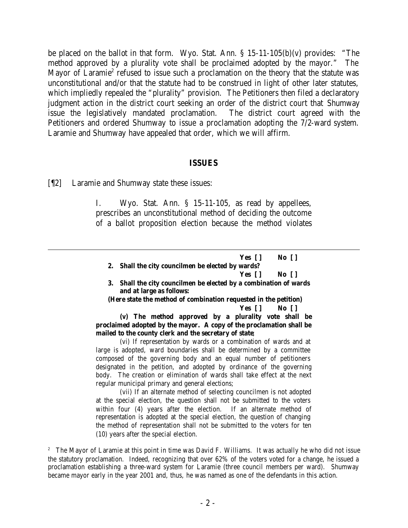be placed on the ballot in that form. Wyo. Stat. Ann. § 15-11-105(b)(v) provides: "The method approved by a plurality vote shall be proclaimed adopted by the mayor." The Mayor of Laramie<sup>2</sup> refused to issue such a proclamation on the theory that the statute was unconstitutional and/or that the statute had to be construed in light of other later statutes, which impliedly repealed the "plurality" provision. The Petitioners then filed a declaratory judgment action in the district court seeking an order of the district court that Shumway issue the legislatively mandated proclamation. The district court agreed with the Petitioners and ordered Shumway to issue a proclamation adopting the 7/2-ward system. Laramie and Shumway have appealed that order, which we will affirm.

#### **ISSUES**

[¶2] Laramie and Shumway state these issues:

I. Wyo. Stat. Ann. § 15-11-105, as read by appellees, prescribes an unconstitutional method of deciding the outcome of a ballot proposition election because the method violates

| Yes []                                            | No []                                                             |  |
|---------------------------------------------------|-------------------------------------------------------------------|--|
| 2. Shall the city councilmen be elected by wards? |                                                                   |  |
|                                                   | Yes II No II                                                      |  |
|                                                   | 3. Shall the city councilmen be elected by a combination of wards |  |

**and at large as follows:**

**(Here state the method of combination requested in the petition) Yes [ ] No [ ]**

**(v) The method approved by a plurality vote shall be proclaimed adopted by the mayor. A copy of the proclamation shall be mailed to the county clerk and the secretary of state**;

(vi) If representation by wards or a combination of wards and at large is adopted, ward boundaries shall be determined by a committee composed of the governing body and an equal number of petitioners designated in the petition, and adopted by ordinance of the governing body. The creation or elimination of wards shall take effect at the next regular municipal primary and general elections;

(vii) If an alternate method of selecting councilmen is not adopted at the special election, the question shall not be submitted to the voters within four (4) years after the election. If an alternate method of representation is adopted at the special election, the question of changing the method of representation shall not be submitted to the voters for ten (10) years after the special election.

<sup>&</sup>lt;sup>2</sup> The Mayor of Laramie at this point in time was David F. Williams. It was actually he who did not issue the statutory proclamation. Indeed, recognizing that over 62% of the voters voted for a change, he issued a proclamation establishing a three-ward system for Laramie (three council members per ward). Shumway became mayor early in the year 2001 and, thus, he was named as one of the defendants in this action.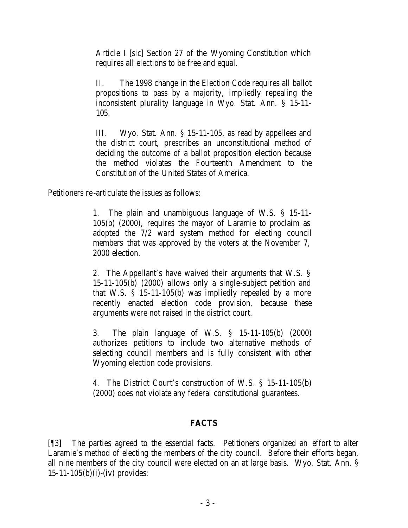Article I [*sic*] Section 27 of the Wyoming Constitution which requires all elections to be free and equal.

II. The 1998 change in the Election Code requires all ballot propositions to pass by a majority, impliedly repealing the inconsistent plurality language in Wyo. Stat. Ann. § 15-11- 105.

III. Wyo. Stat. Ann. § 15-11-105, as read by appellees and the district court, prescribes an unconstitutional method of deciding the outcome of a ballot proposition election because the method violates the Fourteenth Amendment to the Constitution of the United States of America.

Petitioners re-articulate the issues as follows:

1. The plain and unambiguous language of W.S. § 15-11- 105(b) (2000), requires the mayor of Laramie to proclaim as adopted the 7/2 ward system method for electing council members that was approved by the voters at the November 7, 2000 election.

2. The Appellant's have waived their arguments that W.S. § 15-11-105(b) (2000) allows only a single-subject petition and that W.S. § 15-11-105(b) was impliedly repealed by a more recently enacted election code provision, because these arguments were not raised in the district court.

3. The plain language of W.S. § 15-11-105(b) (2000) authorizes petitions to include two alternative methods of selecting council members and is fully consistent with other Wyoming election code provisions.

4. The District Court's construction of W.S. § 15-11-105(b) (2000) does not violate any federal constitutional guarantees.

## **FACTS**

[¶3] The parties agreed to the essential facts. Petitioners organized an effort to alter Laramie's method of electing the members of the city council. Before their efforts began, all nine members of the city council were elected on an at large basis. Wyo. Stat. Ann. §  $15-11-105(b)(i)-(iv)$  provides: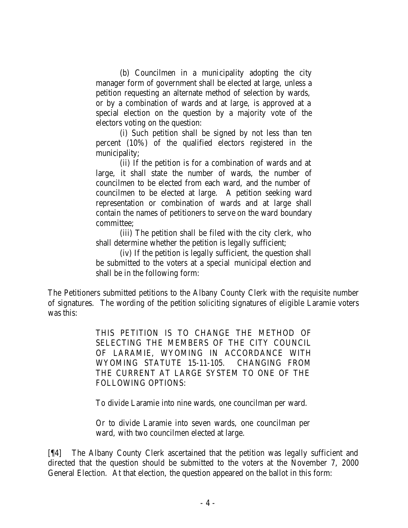(b) Councilmen in a municipality adopting the city manager form of government shall be elected at large, unless a petition requesting an alternate method of selection by wards, or by a combination of wards and at large, is approved at a special election on the question by a majority vote of the electors voting on the question:

(i) Such petition shall be signed by not less than ten percent (10%) of the qualified electors registered in the municipality;

(ii) If the petition is for a combination of wards and at large, it shall state the number of wards, the number of councilmen to be elected from each ward, and the number of councilmen to be elected at large. A petition seeking ward representation or combination of wards and at large shall contain the names of petitioners to serve on the ward boundary committee;

(iii) The petition shall be filed with the city clerk, who shall determine whether the petition is legally sufficient;

(iv) If the petition is legally sufficient, the question shall be submitted to the voters at a special municipal election and shall be in the following form:

The Petitioners submitted petitions to the Albany County Clerk with the requisite number of signatures. The wording of the petition soliciting signatures of eligible Laramie voters was this:

> THIS PETITION IS TO CHANGE THE METHOD OF SELECTING THE MEMBERS OF THE CITY COUNCIL OF LARAMIE, WYOMING IN ACCORDANCE WITH WYOMING STATUTE 15-11-105. CHANGING FROM THE CURRENT AT LARGE SYSTEM TO ONE OF THE FOLLOWING OPTIONS:

To divide Laramie into nine wards, one councilman per ward.

Or to divide Laramie into seven wards, one councilman per ward, with two councilmen elected at large.

[¶4] The Albany County Clerk ascertained that the petition was legally sufficient and directed that the question should be submitted to the voters at the November 7, 2000 General Election. At that election, the question appeared on the ballot in this form: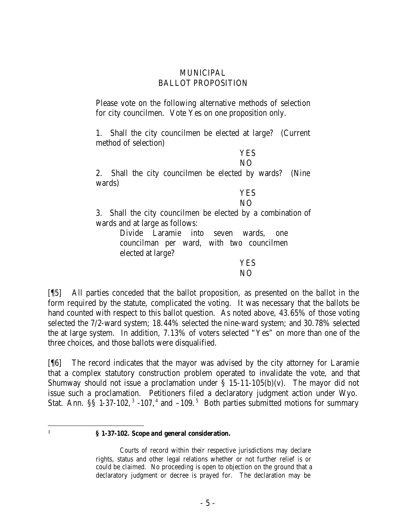### **MUNICIPAL** BALLOT PROPOSITION

Please vote on the following alternative methods of selection for city councilmen. Vote Yes on one proposition only.

1. Shall the city councilmen be elected at large? (Current method of selection)

YES

NO

2. Shall the city councilmen be elected by wards? (Nine wards)

# YES

NO

3. Shall the city councilmen be elected by a combination of wards and at large as follows:

> Divide Laramie into seven wards, one councilman per ward, with two councilmen elected at large?

> > YES

NO

[¶5] All parties conceded that the ballot proposition, as presented on the ballot in the form required by the statute, complicated the voting. It was necessary that the ballots be hand counted with respect to this ballot question. As noted above, 43.65% of those voting selected the 7/2-ward system; 18.44% selected the nine-ward system; and 30.78% selected the at large system. In addition, 7.13% of voters selected "Yes" on more than one of the three choices, and those ballots were disqualified.

[¶6] The record indicates that the mayor was advised by the city attorney for Laramie that a complex statutory construction problem operated to invalidate the vote, and that Shumway should not issue a proclamation under  $\S$  15-11-105(b)(v). The mayor did not issue such a proclamation. Petitioners filed a declaratory judgment action under Wyo. Stat. Ann.  $\S$ § 1-37-102,<sup>3</sup> -107,<sup>4</sup> and -109.<sup>5</sup> Both parties submitted motions for summary

 3

#### **§ 1-37-102. Scope and general consideration.**

Courts of record within their respective jurisdictions may declare rights, status and other legal relations whether or not further relief is or could be claimed. No proceeding is open to objection on the ground that a declaratory judgment or decree is prayed for. The declaration may be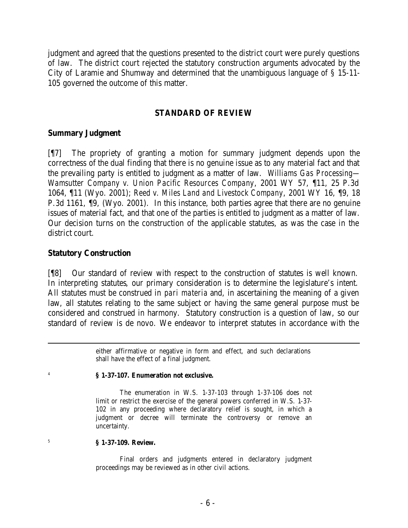judgment and agreed that the questions presented to the district court were purely questions of law. The district court rejected the statutory construction arguments advocated by the City of Laramie and Shumway and determined that the unambiguous language of § 15-11- 105 governed the outcome of this matter.

## **STANDARD OF REVIEW**

### **Summary Judgment**

[¶7] The propriety of granting a motion for summary judgment depends upon the correctness of the dual finding that there is no genuine issue as to any material fact and that the prevailing party is entitled to judgment as a matter of law. *Williams Gas Processing— Wamsutter Company v. Union Pacific Resources Company*, 2001 WY 57, ¶11, 25 P.3d 1064, ¶11 (Wyo. 2001); *Reed v. Miles Land and Livestock Company*, 2001 WY 16, ¶9, 18 P.3d 1161, ¶9, (Wyo. 2001). In this instance, both parties agree that there are no genuine issues of material fact, and that one of the parties is entitled to judgment as a matter of law. Our decision turns on the construction of the applicable statutes, as was the case in the district court.

### **Statutory Construction**

4

5

[¶8] Our standard of review with respect to the construction of statutes is well known. In interpreting statutes, our primary consideration is to determine the legislature's intent. All statutes must be construed in *pari materia* and, in ascertaining the meaning of a given law, all statutes relating to the same subject or having the same general purpose must be considered and construed in harmony. Statutory construction is a question of law, so our standard of review is de novo. We endeavor to interpret statutes in accordance with the

> either affirmative or negative in form and effect, and such declarations shall have the effect of a final judgment.

#### **§ 1-37-107. Enumeration not exclusive.**

The enumeration in W.S. 1-37-103 through 1-37-106 does not limit or restrict the exercise of the general powers conferred in W.S. 1-37- 102 in any proceeding where declaratory relief is sought, in which a judgment or decree will terminate the controversy or remove an uncertainty.

#### **§ 1-37-109. Review.**

Final orders and judgments entered in declaratory judgment proceedings may be reviewed as in other civil actions.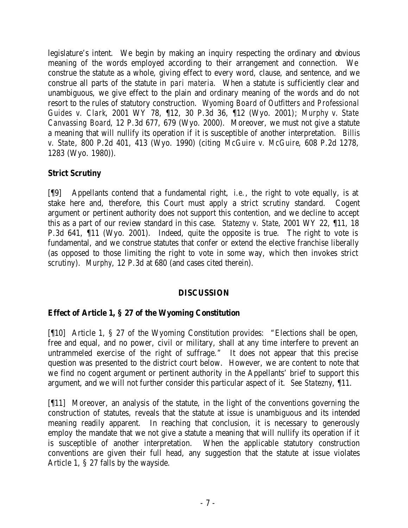legislature's intent. We begin by making an inquiry respecting the ordinary and obvious meaning of the words employed according to their arrangement and connection. We construe the statute as a whole, giving effect to every word, clause, and sentence, and we construe all parts of the statute in *pari materia*. When a statute is sufficiently clear and unambiguous, we give effect to the plain and ordinary meaning of the words and do not resort to the rules of statutory construction. *Wyoming Board of Outfitters and Professional Guides v. Clark*, 2001 WY 78, ¶12, 30 P.3d 36, ¶12 (Wyo. 2001); *Murphy v. State Canvassing Board*, 12 P.3d 677, 679 (Wyo. 2000). Moreover, we must not give a statute a meaning that will nullify its operation if it is susceptible of another interpretation. *Billis v. State*, 800 P.2d 401, 413 (Wyo. 1990) (citing *McGuire v. McGuire*, 608 P.2d 1278, 1283 (Wyo. 1980)).

# **Strict Scrutiny**

[¶9] Appellants contend that a fundamental right, *i.e.*, the right to vote equally, is at stake here and, therefore, this Court must apply a strict scrutiny standard. Cogent argument or pertinent authority does not support this contention, and we decline to accept this as a part of our review standard in this case. *Statezny v. State*, 2001 WY 22, ¶11, 18 P.3d 641, ¶11 (Wyo. 2001). Indeed, quite the opposite is true. The right to vote is fundamental, and we construe statutes that confer or extend the elective franchise liberally (as opposed to those limiting the right to vote in some way, which then invokes strict scrutiny). *Murphy*, 12 P.3d at 680 (and cases cited therein).

## **DISCUSSION**

## **Effect of Article 1, § 27 of the Wyoming Constitution**

[¶10] Article 1, § 27 of the Wyoming Constitution provides: "Elections shall be open, free and equal, and no power, civil or military, shall at any time interfere to prevent an untrammeled exercise of the right of suffrage." It does not appear that this precise question was presented to the district court below. However, we are content to note that we find no cogent argument or pertinent authority in the Appellants' brief to support this argument, and we will not further consider this particular aspect of it. *See Statezny*, ¶11.

[¶11] Moreover, an analysis of the statute, in the light of the conventions governing the construction of statutes, reveals that the statute at issue is unambiguous and its intended meaning readily apparent. In reaching that conclusion, it is necessary to generously employ the mandate that we not give a statute a meaning that will nullify its operation if it is susceptible of another interpretation. When the applicable statutory construction conventions are given their full head, any suggestion that the statute at issue violates Article 1, § 27 falls by the wayside.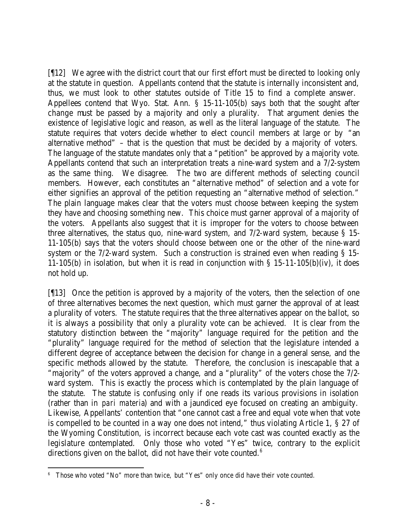[¶12] We agree with the district court that our first effort must be directed to looking only at the statute in question. Appellants contend that the statute is internally inconsistent and, thus, we must look to other statutes outside of Title 15 to find a complete answer. Appellees contend that Wyo. Stat. Ann. § 15-11-105(b) says both that the sought after change must be passed by a majority and only a plurality. That argument denies the existence of legislative logic and reason, as well as the literal language of the statute. The statute requires that voters decide whether to elect council members at large or by "an alternative method" – that is the question that must be decided by a majority of voters. The language of the statute mandates only that a "petition" be approved by a majority vote. Appellants contend that such an interpretation treats a nine-ward system and a 7/2-system as the same thing. We disagree. The two are different methods of selecting council members. However, each constitutes an "alternative method" of selection and a vote for either signifies an approval of the petition requesting an "alternative method of selection." The plain language makes clear that the voters must choose between keeping the system they have and choosing something new. This choice must garner approval of a majority of the voters. Appellants also suggest that it is improper for the voters to choose between three alternatives, the status quo, nine-ward system, and 7/2-ward system, because § 15- 11-105(b) says that the voters should choose between one or the other of the nine-ward system or the 7/2-ward system. Such a construction is strained even when reading § 15-11-105(b) in isolation, but when it is read in conjunction with  $\S$  15-11-105(b)(iv), it does not hold up.

[¶13] Once the petition is approved by a majority of the voters, then the selection of one of three alternatives becomes the next question, which must garner the approval of at least a plurality of voters. The statute requires that the three alternatives appear on the ballot, so it is always a possibility that only a plurality vote can be achieved. It is clear from the statutory distinction between the "majority" language required for the petition and the "plurality" language required for the method of selection that the legislature intended a different degree of acceptance between the decision for change in a general sense, and the specific methods allowed by the statute. Therefore, the conclusion is inescapable that a "majority" of the voters approved a change, and a "plurality" of the voters chose the 7/2 ward system. This is exactly the process which is contemplated by the plain language of the statute. The statute is confusing only if one reads its various provisions in isolation (rather than in *pari materia*) and with a jaundiced eye focused on creating an ambiguity. Likewise, Appellants' contention that "one cannot cast a free and equal vote when that vote is compelled to be counted in a way one does not intend," thus violating Article 1, § 27 of the Wyoming Constitution, is incorrect because each vote cast was counted exactly as the legislature contemplated. Only those who voted "Yes" twice, contrary to the explicit directions given on the ballot, did not have their vote counted.<sup>6</sup>

 <sup>6</sup> Those who voted "No" more than twice, but "Yes" only once did have their vote counted.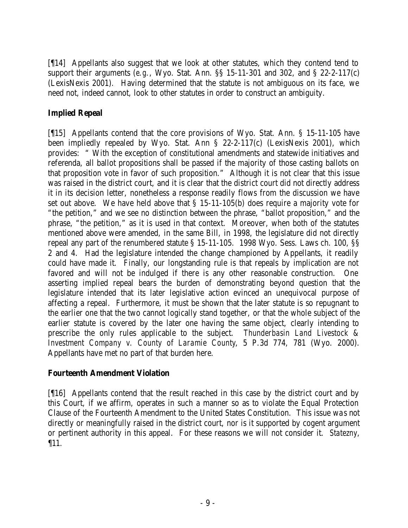[¶14] Appellants also suggest that we look at other statutes, which they contend tend to support their arguments (*e.g.*, Wyo. Stat. Ann. §§ 15-11-301 and 302, and § 22-2-117(c) (LexisNexis 2001). Having determined that the statute is not ambiguous on its face, we need not, indeed cannot, look to other statutes in order to construct an ambiguity.

# **Implied Repeal**

[¶15] Appellants contend that the core provisions of Wyo. Stat. Ann. § 15-11-105 have been impliedly repealed by Wyo. Stat. Ann § 22-2-117(c) (LexisNexis 2001), which provides: " With the exception of constitutional amendments and statewide initiatives and referenda, all ballot propositions shall be passed if the majority of those casting ballots on that proposition vote in favor of such proposition." Although it is not clear that this issue was raised in the district court, and it is clear that the district court did not directly address it in its decision letter, nonetheless a response readily flows from the discussion we have set out above. We have held above that § 15-11-105(b) does require a majority vote for "the petition," and we see no distinction between the phrase, "ballot proposition," and the phrase, "the petition," as it is used in that context. Moreover, when both of the statutes mentioned above were amended, in the same Bill, in 1998, the legislature did not directly repeal any part of the renumbered statute § 15-11-105. 1998 Wyo. Sess. Laws ch. 100, §§ 2 and 4. Had the legislature intended the change championed by Appellants, it readily could have made it. Finally, our longstanding rule is that repeals by implication are not favored and will not be indulged if there is any other reasonable construction. One asserting implied repeal bears the burden of demonstrating beyond question that the legislature intended that its later legislative action evinced an unequivocal purpose of affecting a repeal. Furthermore, it must be shown that the later statute is so repugnant to the earlier one that the two cannot logically stand together, or that the whole subject of the earlier statute is covered by the later one having the same object, clearly intending to prescribe the only rules applicable to the subject. *Thunderbasin Land Livestock & Investment Company v. County of Laramie County*, 5 P.3d 774, 781 (Wyo. 2000). Appellants have met no part of that burden here.

## **Fourteenth Amendment Violation**

[¶16] Appellants contend that the result reached in this case by the district court and by this Court, if we affirm, operates in such a manner so as to violate the Equal Protection Clause of the Fourteenth Amendment to the United States Constitution. This issue wa s not directly or meaningfully raised in the district court, nor is it supported by cogent argument or pertinent authority in this appeal. For these reasons we will not consider it. *Statezny*, ¶11.